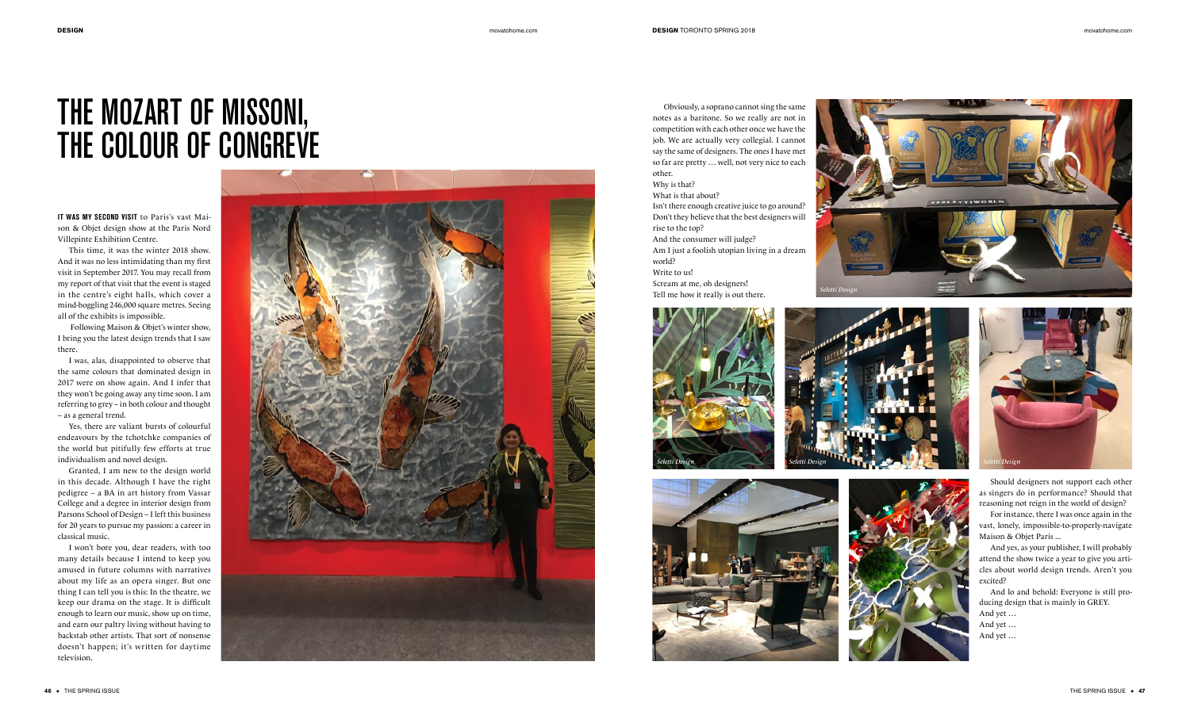**IT WAS MY SECOND VISIT** to Paris's vast Mai son & Objet design show at the Paris Nord Villepinte Exhibition Centre.

This time, it was the winter 2018 show. And it was no less intimidating than my first visit in September 2017. You may recall from my report of that visit that the event is staged in the centre's eight halls, which cover a mind-boggling 246,000 square metres. Seeing all of the exhibits is impossible.

 Following Maison & Objet's winter show, I bring you the latest design trends that I saw there.

I was, alas, disappointed to observe that the same colours that dominated design in 2017 were on show again. And I infer that they won't be going away any time soon. I am referring to grey – in both colour and thought – as a general trend.

Yes, there are valiant bursts of colourful endeavours by the tchotchke companies of the world but pitifully few efforts at true individualism and novel design.

Granted, I am new to the design world in this decade. Although I have the right pedigree – a BA in art history from Vassar College and a degree in interior design from Parsons School of Design – I left this business for 20 years to pursue my passion: a career in classical music.

I won't bore you, dear readers, with too many details because I intend to keep you amused in future columns with narratives about my life as an opera singer. But one thing I can tell you is this: In the theatre, we keep our drama on the stage. It is difficult enough to learn our music, show up on time, and earn our paltry living without having to backstab other artists. That sort of nonsense doesn't happen; it's written for daytime television.



Obviously, a soprano cannot sing the same notes as a baritone. So we really are not in competition with each other once we have the job. We are actually very collegial. I cannot say the same of designers. The ones I have met so far are pretty … well, not very nice to each other. Why is that? What is that about?

Isn't there enough creative juice to go around? Don't they believe that the best designers will rise to the top? And the consumer will judge?

Am I just a foolish utopian living in a dream world?

Write to us!

Scream at me, oh designers! Tell me how it really is out there.







Should designers not support each other as singers do in performance? Should that reasoning not reign in the world of design?

For instance, there I was once again in the vast, lonely, impossible-to-properly-navigate Maison & Objet Paris ...

And yes, as your publisher, I will probably attend the show twice a year to give you arti cles about world design trends. Aren't you excited?

And lo and behold: Everyone is still pro ducing design that is mainly in GREY.

And yet … And yet …

And yet …

## THE MOZART OF MISSONI, THE COLOUR OF CONGREVE